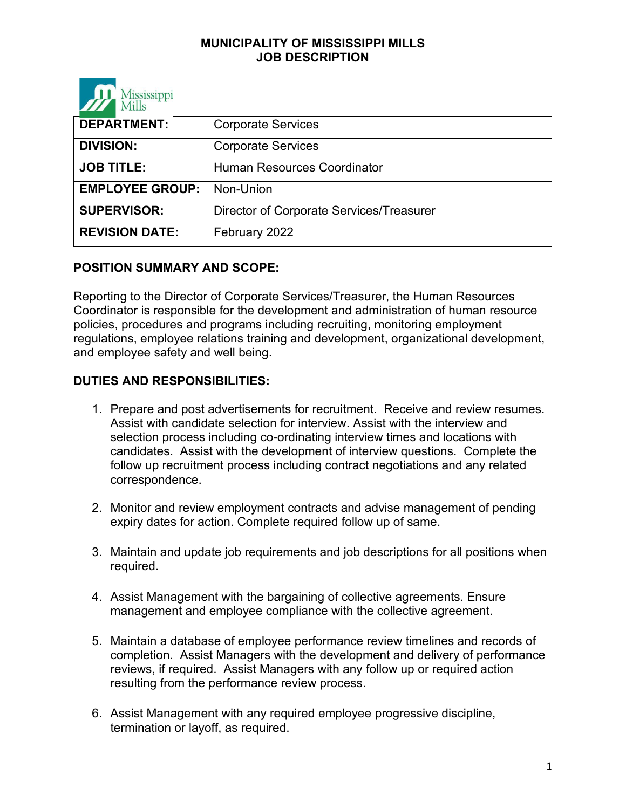### **MUNICIPALITY OF MISSISSIPPI MILLS JOB DESCRIPTION**

| Mississippi<br>Mills   |                                          |
|------------------------|------------------------------------------|
| <b>DEPARTMENT:</b>     | <b>Corporate Services</b>                |
| <b>DIVISION:</b>       | <b>Corporate Services</b>                |
| <b>JOB TITLE:</b>      | <b>Human Resources Coordinator</b>       |
| <b>EMPLOYEE GROUP:</b> | Non-Union                                |
| <b>SUPERVISOR:</b>     | Director of Corporate Services/Treasurer |
| <b>REVISION DATE:</b>  | February 2022                            |

### **POSITION SUMMARY AND SCOPE:**

Reporting to the Director of Corporate Services/Treasurer, the Human Resources Coordinator is responsible for the development and administration of human resource policies, procedures and programs including recruiting, monitoring employment regulations, employee relations training and development, organizational development, and employee safety and well being.

## **DUTIES AND RESPONSIBILITIES:**

- 1. Prepare and post advertisements for recruitment. Receive and review resumes. Assist with candidate selection for interview. Assist with the interview and selection process including co-ordinating interview times and locations with candidates. Assist with the development of interview questions. Complete the follow up recruitment process including contract negotiations and any related correspondence.
- 2. Monitor and review employment contracts and advise management of pending expiry dates for action. Complete required follow up of same.
- 3. Maintain and update job requirements and job descriptions for all positions when required.
- 4. Assist Management with the bargaining of collective agreements. Ensure management and employee compliance with the collective agreement.
- 5. Maintain a database of employee performance review timelines and records of completion. Assist Managers with the development and delivery of performance reviews, if required. Assist Managers with any follow up or required action resulting from the performance review process.
- 6. Assist Management with any required employee progressive discipline, termination or layoff, as required.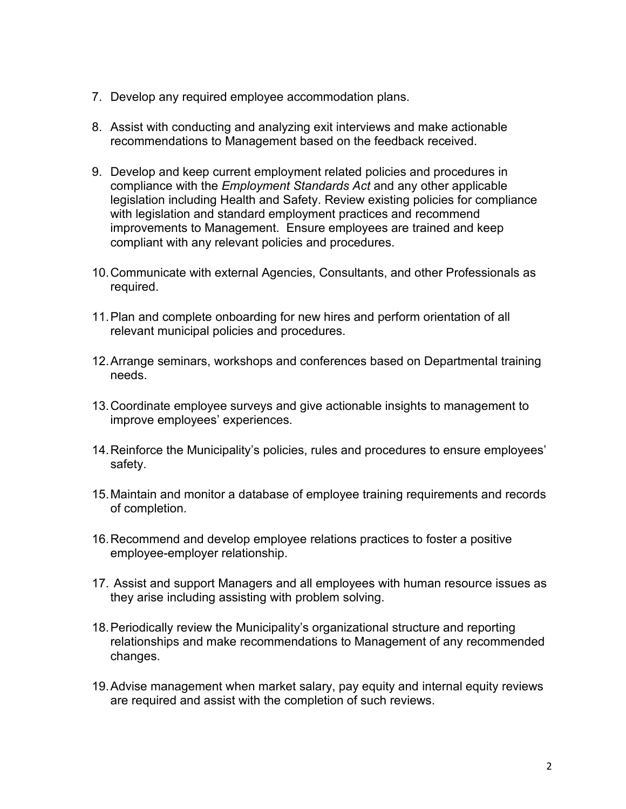- 7. Develop any required employee accommodation plans.
- 8. Assist with conducting and analyzing exit interviews and make actionable recommendations to Management based on the feedback received.
- 9. Develop and keep current employment related policies and procedures in compliance with the *Employment Standards Act* and any other applicable legislation including Health and Safety. Review existing policies for compliance with legislation and standard employment practices and recommend improvements to Management. Ensure employees are trained and keep compliant with any relevant policies and procedures.
- 10.Communicate with external Agencies, Consultants, and other Professionals as required.
- 11.Plan and complete onboarding for new hires and perform orientation of all relevant municipal policies and procedures.
- 12.Arrange seminars, workshops and conferences based on Departmental training needs.
- 13.Coordinate employee surveys and give actionable insights to management to improve employees' experiences.
- 14.Reinforce the Municipality's policies, rules and procedures to ensure employees' safety.
- 15.Maintain and monitor a database of employee training requirements and records of completion.
- 16.Recommend and develop employee relations practices to foster a positive employee-employer relationship.
- 17. Assist and support Managers and all employees with human resource issues as they arise including assisting with problem solving.
- 18.Periodically review the Municipality's organizational structure and reporting relationships and make recommendations to Management of any recommended changes.
- 19.Advise management when market salary, pay equity and internal equity reviews are required and assist with the completion of such reviews.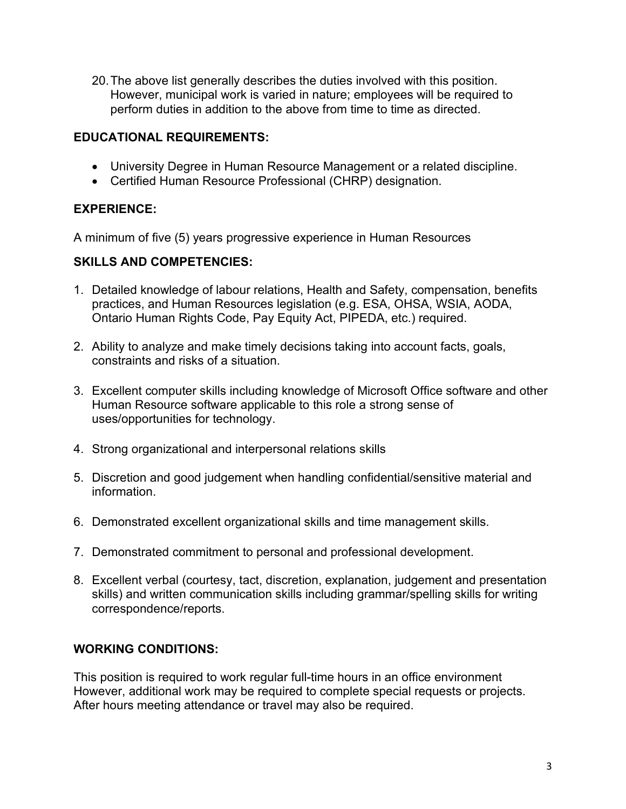20.The above list generally describes the duties involved with this position. However, municipal work is varied in nature; employees will be required to perform duties in addition to the above from time to time as directed.

### **EDUCATIONAL REQUIREMENTS:**

- University Degree in Human Resource Management or a related discipline.
- Certified Human Resource Professional (CHRP) designation.

### **EXPERIENCE:**

A minimum of five (5) years progressive experience in Human Resources

### **SKILLS AND COMPETENCIES:**

- 1. Detailed knowledge of labour relations, Health and Safety, compensation, benefits practices, and Human Resources legislation (e.g. ESA, OHSA, WSIA, AODA, Ontario Human Rights Code, Pay Equity Act, PIPEDA, etc.) required.
- 2. Ability to analyze and make timely decisions taking into account facts, goals, constraints and risks of a situation.
- 3. Excellent computer skills including knowledge of Microsoft Office software and other Human Resource software applicable to this role a strong sense of uses/opportunities for technology.
- 4. Strong organizational and interpersonal relations skills
- 5. Discretion and good judgement when handling confidential/sensitive material and information.
- 6. Demonstrated excellent organizational skills and time management skills.
- 7. Demonstrated commitment to personal and professional development.
- 8. Excellent verbal (courtesy, tact, discretion, explanation, judgement and presentation skills) and written communication skills including grammar/spelling skills for writing correspondence/reports.

#### **WORKING CONDITIONS:**

This position is required to work regular full-time hours in an office environment However, additional work may be required to complete special requests or projects. After hours meeting attendance or travel may also be required.